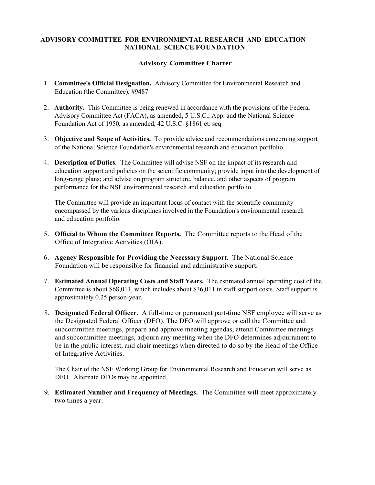## ADVISORY COMMITTEE FOR ENVIRONMENTAL RESEARCH AND EDUCATION NATIONAL SCIENCE FOUNDATION

## Advisory Committee Charter

- 1. Committee's Official Designation. Advisory Committee for Environmental Research and Education (the Committee), #9487
- 2. Authority. This Committee is being renewed in accordance with the provisions of the Federal Advisory Committee Act (FACA), as amended, 5 U.S.C., App. and the National Science Foundation Act of 1950, as amended, 42 U.S.C. §1861 et. seq.
- 3. Objective and Scope of Activities. To provide advice and recommendations concerning support of the National Science Foundation's environmental research and education portfolio.
- 4. Description of Duties. The Committee will advise NSF on the impact of its research and education support and policies on the scientific community; provide input into the development of long-range plans; and advise on program structure, balance, and other aspects of program performance for the NSF environmental research and education portfolio.

 The Committee will provide an important locus of contact with the scientific community encompassed by the various disciplines involved in the Foundation's environmental research and education portfolio.

- 5. Official to Whom the Committee Reports. The Committee reports to the Head of the Office of Integrative Activities (OIA).
- 6. Agency Responsible for Providing the Necessary Support. The National Science Foundation will be responsible for financial and administrative support.
- 7. Estimated Annual Operating Costs and Staff Years. The estimated annual operating cost of the Committee is about \$68,011, which includes about \$36,011 in staff support costs. Staff support is approximately 0.25 person-year.
- 8. Designated Federal Officer. A full-time or permanent part-time NSF employee will serve as the Designated Federal Officer (DFO). The DFO will approve or call the Committee and subcommittee meetings, prepare and approve meeting agendas, attend Committee meetings and subcommittee meetings, adjourn any meeting when the DFO determines adjournment to be in the public interest, and chair meetings when directed to do so by the Head of the Office of Integrative Activities.

 The Chair of the NSF Working Group for Environmental Research and Education will serve as DFO. Alternate DFOs may be appointed.

9. Estimated Number and Frequency of Meetings. The Committee will meet approximately two times a year.